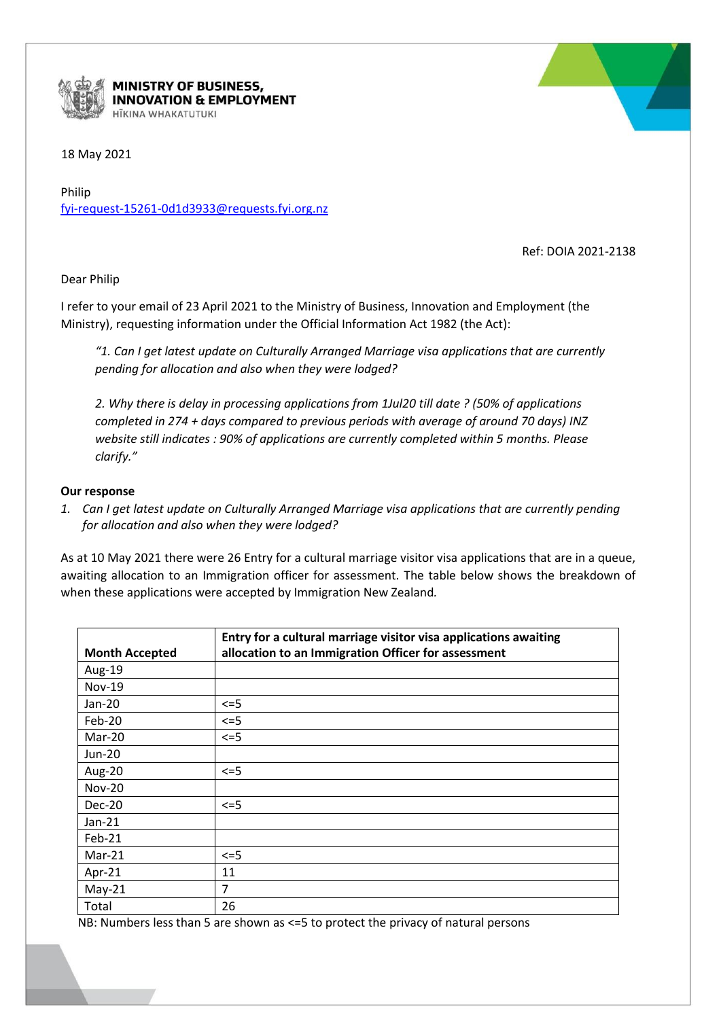

**MINISTRY OF BUSINESS, INNOVATION & EMPLOYMENT** HĪKINA WHAKATUTUKI

## 18 May 2021

Philip [fyi-request-15261-0d1d3933@requests.fyi.org.nz](mailto:xxxxxxxxxxxxxxxxxxxxxxxxxx@xxxxxxxx.xxx.xxx.xx)

Ref: DOIA 2021-2138

Dear Philip

I refer to your email of 23 April 2021 to the Ministry of Business, Innovation and Employment (the Ministry), requesting information under the Official Information Act 1982 (the Act):

*"1. Can I get latest update on Culturally Arranged Marriage visa applications that are currently pending for allocation and also when they were lodged?* 

*2. Why there is delay in processing applications from 1Jul20 till date ? (50% of applications completed in 274 + days compared to previous periods with average of around 70 days) INZ website still indicates : 90% of applications are currently completed within 5 months. Please clarify."*

## **Our response**

*1. Can I get latest update on Culturally Arranged Marriage visa applications that are currently pending for allocation and also when they were lodged?*

As at 10 May 2021 there were 26 Entry for a cultural marriage visitor visa applications that are in a queue, awaiting allocation to an Immigration officer for assessment. The table below shows the breakdown of when these applications were accepted by Immigration New Zealand*.*

| <b>Month Accepted</b> | Entry for a cultural marriage visitor visa applications awaiting<br>allocation to an Immigration Officer for assessment |  |
|-----------------------|-------------------------------------------------------------------------------------------------------------------------|--|
| Aug-19                |                                                                                                                         |  |
| <b>Nov-19</b>         |                                                                                                                         |  |
| Jan-20                | $\leq$ =5                                                                                                               |  |
| Feb-20                | $\leq$ =5                                                                                                               |  |
| Mar-20                | $\leq$ =5                                                                                                               |  |
| Jun-20                |                                                                                                                         |  |
| Aug-20                | $\leq$ =5                                                                                                               |  |
| <b>Nov-20</b>         |                                                                                                                         |  |
| Dec-20                | $\leq$ =5                                                                                                               |  |
| $Jan-21$              |                                                                                                                         |  |
| Feb-21                |                                                                                                                         |  |
| $Mar-21$              | $\leq$ =5                                                                                                               |  |
| Apr-21                | 11                                                                                                                      |  |
| $May-21$              | $\overline{7}$                                                                                                          |  |
| Total                 | 26                                                                                                                      |  |

NB: Numbers less than 5 are shown as <=5 to protect the privacy of natural persons